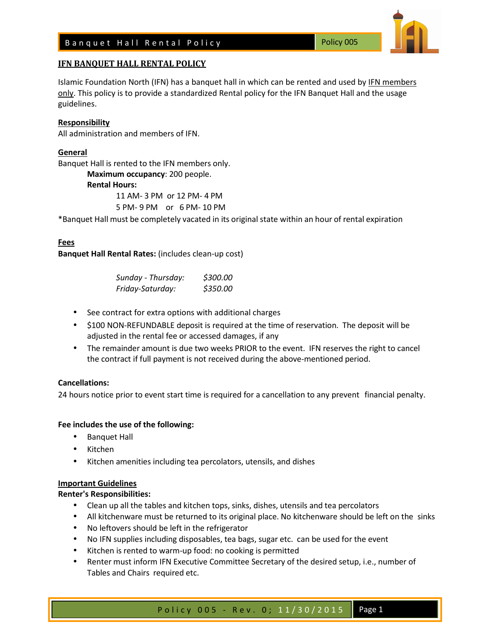

Islamic Foundation North (IFN) has a banquet hall in which can be rented and used by IFN members only. This policy is to provide a standardized Rental policy for the IFN Banquet Hall and the usage guidelines.

## **Responsibility**

All administration and members of IFN.

# **General**

Banquet Hall is rented to the IFN members only.

 **Maximum occupancy**: 200 people.

#### **Rental Hours:**

11 AM- 3 PM or 12 PM- 4 PM

5 PM- 9 PM or 6 PM- 10 PM

\*Banquet Hall must be completely vacated in its original state within an hour of rental expiration

### **Fees**

**Banquet Hall Rental Rates:** (includes clean-up cost)

| Sunday - Thursday: | \$300.00 |
|--------------------|----------|
| Friday-Saturday:   | \$350.00 |

- See contract for extra options with additional charges
- \$100 NON-REFUNDABLE deposit is required at the time of reservation. The deposit will be adjusted in the rental fee or accessed damages, if any
- The remainder amount is due two weeks PRIOR to the event. IFN reserves the right to cancel the contract if full payment is not received during the above-mentioned period.

# **Cancellations:**

24 hours notice prior to event start time is required for a cancellation to any prevent financial penalty.

# **Fee includes the use of the following:**

- Banquet Hall
- Kitchen
- Kitchen amenities including tea percolators, utensils, and dishes

#### **Important Guidelines**

# **Renter's Responsibilities:**

- Clean up all the tables and kitchen tops, sinks, dishes, utensils and tea percolators
- All kitchenware must be returned to its original place. No kitchenware should be left on the sinks
- No leftovers should be left in the refrigerator
- No IFN supplies including disposables, tea bags, sugar etc. can be used for the event
- Kitchen is rented to warm-up food: no cooking is permitted
- Renter must inform IFN Executive Committee Secretary of the desired setup, i.e., number of Tables and Chairs required etc.